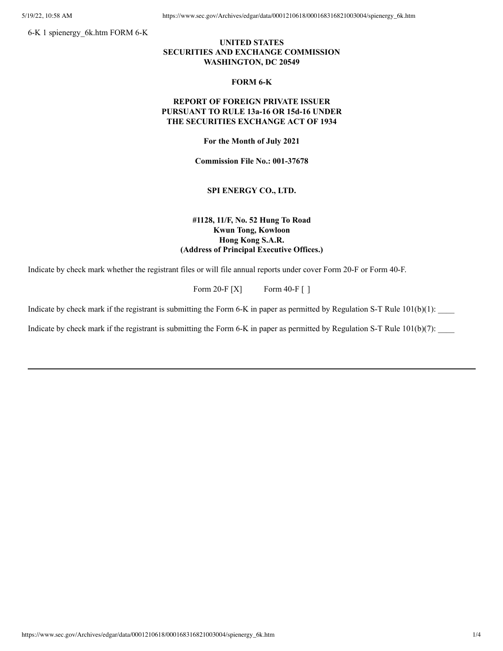5/19/22, 10:58 AM https://www.sec.gov/Archives/edgar/data/0001210618/000168316821003004/spienergy\_6k.htm

6-K 1 spienergy\_6k.htm FORM 6-K

## **UNITED STATES SECURITIES AND EXCHANGE COMMISSION WASHINGTON, DC 20549**

#### **FORM 6-K**

### **REPORT OF FOREIGN PRIVATE ISSUER PURSUANT TO RULE 13a-16 OR 15d-16 UNDER THE SECURITIES EXCHANGE ACT OF 1934**

**For the Month of July 2021**

**Commission File No.: 001-37678**

### **SPI ENERGY CO., LTD.**

## **#1128, 11/F, No. 52 Hung To Road Kwun Tong, Kowloon Hong Kong S.A.R. (Address of Principal Executive Offices.)**

Indicate by check mark whether the registrant files or will file annual reports under cover Form 20-F or Form 40-F.

Form 20-F [X] Form 40-F []

Indicate by check mark if the registrant is submitting the Form 6-K in paper as permitted by Regulation S-T Rule  $101(b)(1)$ :

Indicate by check mark if the registrant is submitting the Form 6-K in paper as permitted by Regulation S-T Rule  $101(b)(7)$ :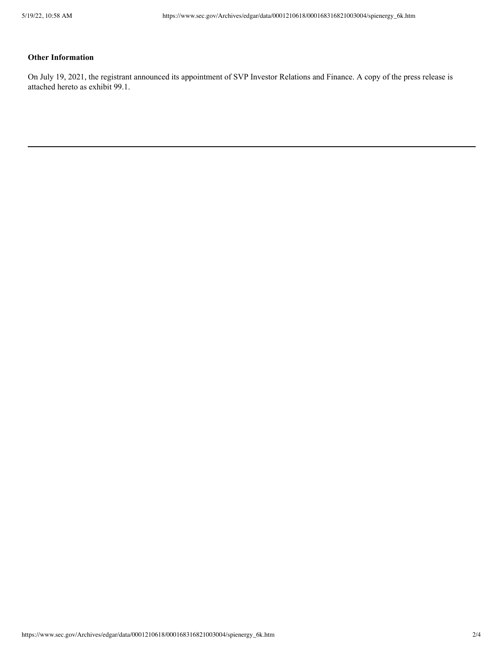# **Other Information**

On July 19, 2021, the registrant announced its appointment of SVP Investor Relations and Finance. A copy of the press release is attached hereto as exhibit 99.1.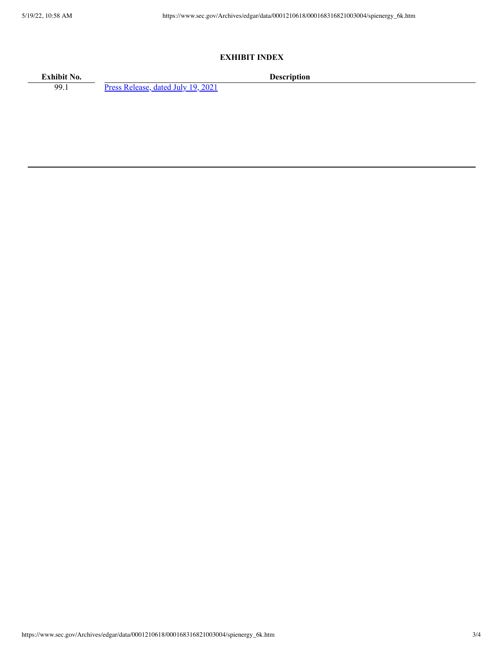### **EXHIBIT INDEX**

**Exhibit No. Description**<br>99.1 **Press Release, dated July 19, 2021 Description** Press [Release,](https://www.sec.gov/Archives/edgar/data/0001210618/000168316821003004/spienergy_ex9901.htm) dated July 19, 2021